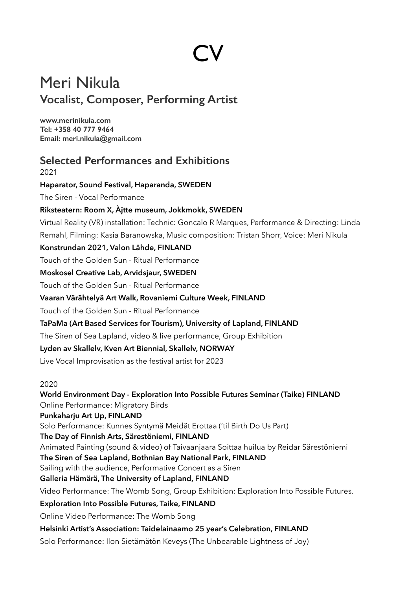# **CV**

# Meri Nikula **Vocalist, Composer, Performing Artist**

**[www.merinikula.com](http://www.merinikula.com) Tel: +358 40 777 9464 Email: meri.nikula@gmail.com**

# **Selected Performances and Exhibitions**  2021 **Haparator, Sound Festival, Haparanda, SWEDEN**  The Siren - Vocal Performance **Riksteatern: Room X, Àjtte museum, Jokkmokk, SWEDEN**  Virtual Reality (VR) installation: Technic: Goncalo R Marques, Performance & Directing: Linda Remahl, Filming: Kasia Baranowska, Music composition: Tristan Shorr, Voice: Meri Nikula

#### **Konstrundan 2021, Valon Lähde, FINLAND**

Touch of the Golden Sun - Ritual Performance

#### **Moskosel Creative Lab, Arvidsjaur, SWEDEN**

Touch of the Golden Sun - Ritual Performance

#### **Vaaran Värähtelyä Art Walk, Rovaniemi Culture Week, FINLAND**

Touch of the Golden Sun - Ritual Performance

#### **TaPaMa (Art Based Services for Tourism), University of Lapland, FINLAND**

The Siren of Sea Lapland, video & live performance, Group Exhibition

#### **Lyden av Skallelv, Kven Art Biennial, Skallelv, NORWAY**

Live Vocal Improvisation as the festival artist for 2023

2020

**World Environment Day - Exploration Into Possible Futures Seminar (Taike) FINLAND**  Online Performance: Migratory Birds **Punkaharju Art Up, FINLAND**  Solo Performance: Kunnes Syntymä Meidät Erottaa ('til Birth Do Us Part) **The Day of Finnish Arts, Särestöniemi, FINLAND**  Animated Painting (sound & video) of Taivaanjaara Soittaa huilua by Reidar Särestöniemi **The Siren of Sea Lapland, Bothnian Bay National Park, FINLAND**  Sailing with the audience, Performative Concert as a Siren **Galleria Hämärä, The University of Lapland, FINLAND** Video Performance: The Womb Song, Group Exhibition: Exploration Into Possible Futures. **Exploration Into Possible Futures, Taike, FINLAND**  Online Video Performance: The Womb Song **Helsinki Artist's Association: Taidelainaamo 25 year's Celebration, FINLAND**  Solo Performance: Ilon Sietämätön Keveys (The Unbearable Lightness of Joy)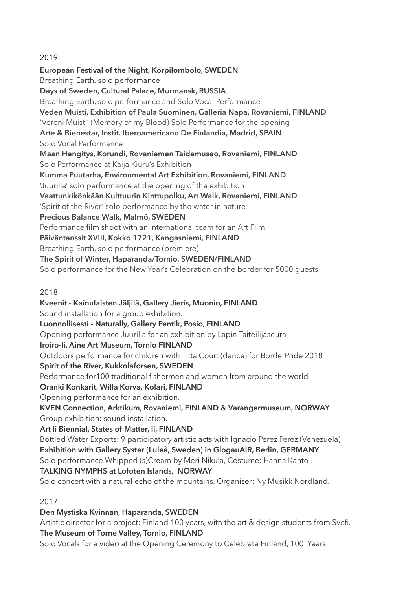#### 2019

**European Festival of the Night, Korpilombolo, SWEDEN**  Breathing Earth, solo performance **Days of Sweden, Cultural Palace, Murmansk, RUSSIA** Breathing Earth, solo performance and Solo Vocal Performance **Veden Muisti, Exhibition of Paula Suominen, Galleria Napa, Rovaniemi, FINLAND** 'Vereni Muisti' (Memory of my Blood) Solo Performance for the opening **Arte & Bienestar, Instit. Iberoamericano De Finlandia, Madrid, SPAIN** Solo Vocal Performance **Maan Hengitys, Korundi, Rovaniemen Taidemuseo, Rovaniemi, FINLAND**  Solo Performance at Kaija Kiuru's Exhibition **Kumma Puutarha, Environmental Art Exhibition, Rovaniemi, FINLAND** 'Juurilla' solo performance at the opening of the exhibition **Vaattunkikönkään Kulttuurin Kinttupolku, Art Walk, Rovaniemi, FINLAND** 'Spirit of the River' solo performance by the water in nature **Precious Balance Walk, Malmö, SWEDEN** Performance film shoot with an international team for an Art Film **Päiväntanssit XVIII, Kokko 1721, Kangasniemi, FINLAND** Breathing Earth, solo performance (premiere) **The Spirit of Winter, Haparanda/Tornio, SWEDEN/FINLAND** Solo performance for the New Year's Celebration on the border for 5000 guests 2018 **Kveenit - Kainulaisten Jäljilä, Gallery Jieris, Muonio, FINLAND** Sound installation for a group exhibition. **Luonnollisesti - Naturally, Gallery Pentik, Posio, FINLAND** Opening performance Juurilla for an exhibition by Lapin Taiteilijaseura **Iroiro-Ii, Aine Art Museum, Tornio FINLAND** Outdoors performance for children with Titta Court (dance) for BorderPride 2018 **Spirit of the River, Kukkolaforsen, SWEDEN** Performance for100 traditional fishermen and women from around the world **Oranki Konkarit, Willa Korva, Kolari, FINLAND**

Opening performance for an exhibition.

**KVEN Connection, Arktikum, Rovaniemi, FINLAND & Varangermuseum, NORWAY** Group exhibition: sound installation.

**Art Ii Biennial, States of Matter, Ii, FINLAND**

Bottled Water Exports: 9 participatory artistic acts with Ignacio Perez Perez (Venezuela) **Exhibition with Gallery Syster (Luleå, Sweden) in GlogauAIR, Berlin, GERMANY** Solo performance Whipped (s)Cream by Meri Nikula, Costume: Hanna Kanto **TALKING NYMPHS at Lofoten Islands, NORWAY**

Solo concert with a natural echo of the mountains. Organiser: Ny Musikk Nordland.

# 2017

**Den Mystiska Kvinnan, Haparanda, SWEDEN** 

Artistic director for a project: Finland 100 years, with the art & design students from Svefi.

# **The Museum of Torne Valley, Tornio, FINLAND**

Solo Vocals for a video at the Opening Ceremony to Celebrate Finland, 100 Years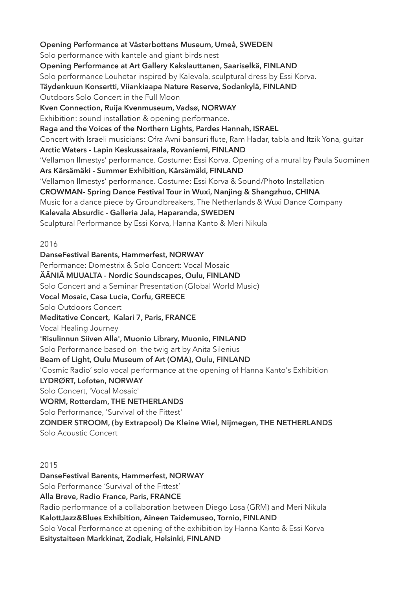**Opening Performance at Västerbottens Museum, Umeå, SWEDEN** Solo performance with kantele and giant birds nest **Opening Performance at Art Gallery Kakslauttanen, Saariselkä, FINLAND** Solo performance Louhetar inspired by Kalevala, sculptural dress by Essi Korva. **Täydenkuun Konsertti, Viiankiaapa Nature Reserve, Sodankylä, FINLAND**  Outdoors Solo Concert in the Full Moon **Kven Connection, Ruija Kvenmuseum, Vadsø, NORWAY**  Exhibition: sound installation & opening performance. **Raga and the Voices of the Northern Lights, Pardes Hannah, ISRAEL** Concert with Israeli musicians: Ofra Avni bansuri flute, Ram Hadar, tabla and Itzik Yona, guitar **Arctic Waters - Lapin Keskussairaala, Rovaniemi, FINLAND** 'Vellamon Ilmestys' performance. Costume: Essi Korva. Opening of a mural by Paula Suominen **Ars Kärsämäki - Summer Exhibition, Kärsämäki, FINLAND** 'Vellamon Ilmestys' performance. Costume: Essi Korva & Sound/Photo Installation **CROWMAN- Spring Dance Festival Tour in Wuxi, Nanjing & Shangzhuo, CHINA** Music for a dance piece by Groundbreakers, The Netherlands & Wuxi Dance Company **Kalevala Absurdic - Galleria Jala, Haparanda, SWEDEN** Sculptural Performance by Essi Korva, Hanna Kanto & Meri Nikula

#### 2016

**DanseFestival Barents, Hammerfest, NORWAY** Performance: Domestrix & Solo Concert: Vocal Mosaic **ÄÄNIÄ MUUALTA - Nordic Soundscapes, Oulu, FINLAND** Solo Concert and a Seminar Presentation (Global World Music) **Vocal Mosaic, Casa Lucia, Corfu, GREECE** Solo Outdoors Concert **Meditative Concert, Kalari 7, Paris, FRANCE** Vocal Healing Journey **'Risulinnun Siiven Alla', Muonio Library, Muonio, FINLAND** Solo Performance based on the twig art by Anita Silenius **Beam of Light, Oulu Museum of Art (OMA), Oulu, FINLAND** 'Cosmic Radio' solo vocal performance at the opening of Hanna Kanto's Exhibition **LYDRØRT, Lofoten, NORWAY**  Solo Concert, 'Vocal Mosaic' **WORM, Rotterdam, THE NETHERLANDS** Solo Performance, 'Survival of the Fittest' **ZONDER STROOM, (by Extrapool) De Kleine Wiel, Nijmegen, THE NETHERLANDS** Solo Acoustic Concert

2015

**DanseFestival Barents, Hammerfest, NORWAY** Solo Performance 'Survival of the Fittest' **Alla Breve, Radio France, Paris, FRANCE** Radio performance of a collaboration between Diego Losa (GRM) and Meri Nikula **KalottJazz&Blues Exhibition, Aineen Taidemuseo, Tornio, FINLAND** Solo Vocal Performance at opening of the exhibition by Hanna Kanto & Essi Korva **Esitystaiteen Markkinat, Zodiak, Helsinki, FINLAND**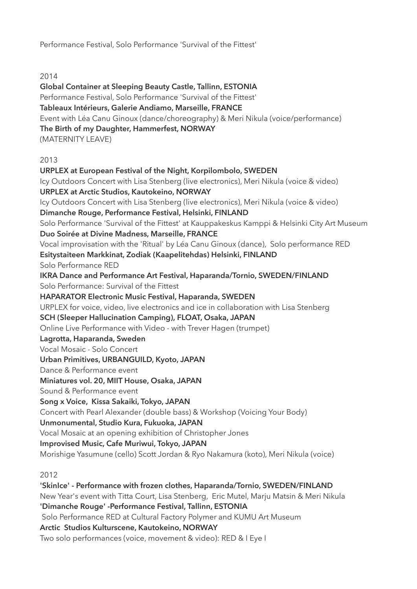Performance Festival, Solo Performance 'Survival of the Fittest'

2014

**Global Container at Sleeping Beauty Castle, Tallinn, ESTONIA** Performance Festival, Solo Performance 'Survival of the Fittest' **Tableaux Intérieurs, Galerie Andiamo, Marseille, FRANCE** Event with Léa Canu Ginoux (dance/choreography) & Meri Nikula (voice/performance) **The Birth of my Daughter, Hammerfest, NORWAY**  (MATERNITY LEAVE) 2013 **URPLEX at European Festival of the Night, Korpilombolo, SWEDEN** Icy Outdoors Concert with Lisa Stenberg (live electronics), Meri Nikula (voice & video) **URPLEX at Arctic Studios, Kautokeino, NORWAY** Icy Outdoors Concert with Lisa Stenberg (live electronics), Meri Nikula (voice & video) **Dimanche Rouge, Performance Festival, Helsinki, FINLAND** Solo Performance 'Survival of the Fittest' at Kauppakeskus Kamppi & Helsinki City Art Museum **Duo Soirée at Divine Madness, Marseille, FRANCE** Vocal improvisation with the 'Ritual' by Léa Canu Ginoux (dance), Solo performance RED **Esitystaiteen Markkinat, Zodiak (Kaapelitehdas) Helsinki, FINLAND** Solo Performance RED **IKRA Dance and Performance Art Festival, Haparanda/Tornio, SWEDEN/FINLAND** Solo Performance: Survival of the Fittest **HAPARATOR Electronic Music Festival, Haparanda, SWEDEN** URPLEX for voice, video, live electronics and ice in collaboration with Lisa Stenberg **SCH (Sleeper Hallucination Camping), FLOAT, Osaka, JAPAN** Online Live Performance with Video - with Trever Hagen (trumpet) **Lagrotta, Haparanda, Sweden** Vocal Mosaic - Solo Concert **Urban Primitives, URBANGUILD, Kyoto, JAPAN** Dance & Performance event **Miniatures vol. 20, MIIT House, Osaka, JAPAN** Sound & Performance event **Song x Voice, Kissa Sakaiki, Tokyo, JAPAN** Concert with Pearl Alexander (double bass) & Workshop (Voicing Your Body) **Unmonumental, Studio Kura, Fukuoka, JAPAN** Vocal Mosaic at an opening exhibition of Christopher Jones **Improvised Music, Cafe Muriwui, Tokyo, JAPAN** Morishige Yasumune (cello) Scott Jordan & Ryo Nakamura (koto), Meri Nikula (voice) 2012

**'SkinIce' - Performance with frozen clothes, Haparanda/Tornio, SWEDEN/FINLAND** New Year's event with Titta Court, Lisa Stenberg, Eric Mutel, Marju Matsin & Meri Nikula **'Dimanche Rouge' -Performance Festival, Tallinn, ESTONIA** Solo Performance RED at Cultural Factory Polymer and KUMU Art Museum **Arctic Studios Kulturscene, Kautokeino, NORWAY** Two solo performances (voice, movement & video): RED & I Eye I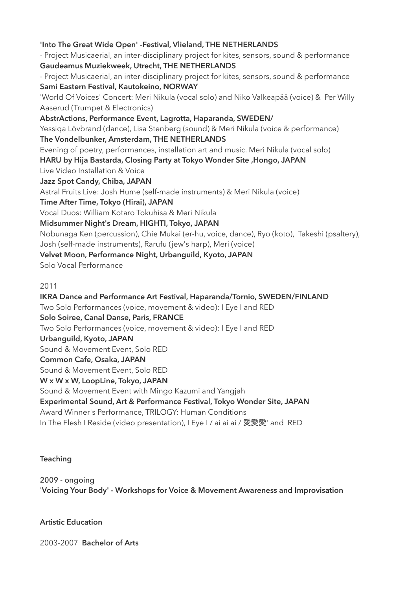#### **'Into The Great Wide Open' -Festival, Vlieland, THE NETHERLANDS**

- Project Musicaerial, an inter-disciplinary project for kites, sensors, sound & performance **Gaudeamus Muziekweek, Utrecht, THE NETHERLANDS**

- Project Musicaerial, an inter-disciplinary project for kites, sensors, sound & performance **Sami Eastern Festival, Kautokeino, NORWAY**

'World Of Voices' Concert: Meri Nikula (vocal solo) and Niko Valkeapää (voice) & Per Willy Aaserud (Trumpet & Electronics)

**AbstrActions, Performance Event, Lagrotta, Haparanda, SWEDEN/**

Yessiqa Lövbrand (dance), Lisa Stenberg (sound) & Meri Nikula (voice & performance) **The Vondelbunker, Amsterdam, THE NETHERLANDS**

Evening of poetry, performances, installation art and music. Meri Nikula (vocal solo)

**HARU by Hija Bastarda, Closing Party at Tokyo Wonder Site ,Hongo, JAPAN**

Live Video Installation & Voice

**Jazz Spot Candy, Chiba, JAPAN**

Astral Fruits Live: Josh Hume (self-made instruments) & Meri Nikula (voice)

**Time After Time, Tokyo (Hirai), JAPAN**

Vocal Duos: William Kotaro Tokuhisa & Meri Nikula

**Midsummer Night's Dream, HIGHTI, Tokyo, JAPAN**

Nobunaga Ken (percussion), Chie Mukai (er-hu, voice, dance), Ryo (koto), Takeshi (psaltery), Josh (self-made instruments), Rarufu (jew's harp), Meri (voice)

# **Velvet Moon, Performance Night, Urbanguild, Kyoto, JAPAN**

Solo Vocal Performance

#### 2011

**IKRA Dance and Performance Art Festival, Haparanda/Tornio, SWEDEN/FINLAND** Two Solo Performances (voice, movement & video): I Eye I and RED **Solo Soiree, Canal Danse, Paris, FRANCE** Two Solo Performances (voice, movement & video): I Eye I and RED **Urbanguild, Kyoto, JAPAN** Sound & Movement Event, Solo RED **Common Cafe, Osaka, JAPAN** Sound & Movement Event, Solo RED **W x W x W, LoopLine, Tokyo, JAPAN** Sound & Movement Event with Mingo Kazumi and Yangjah **Experimental Sound, Art & Performance Festival, Tokyo Wonder Site, JAPAN** Award Winner's Performance, TRILOGY: Human Conditions In The Flesh I Reside (video presentation), I Eye I / ai ai ai / 愛愛愛' and RED

# **Teaching**

2009 - ongoing '**Voicing Your Body' - Workshops for Voice & Movement Awareness and Improvisation** 

# **Artistic Education**

2003-2007 **Bachelor of Arts**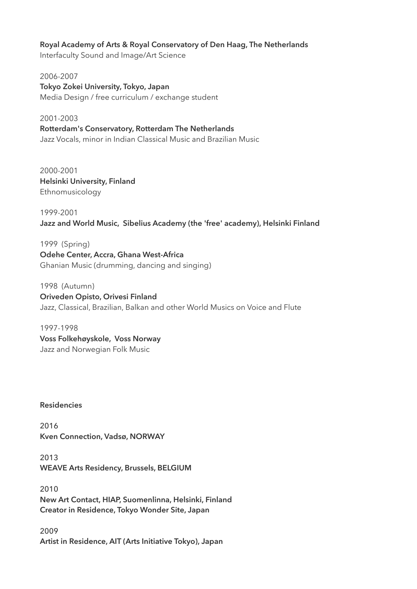#### **Royal Academy of Arts & Royal Conservatory of Den Haag, The Netherlands**

Interfaculty Sound and Image/Art Science

2006-2007 **Tokyo Zokei University, Tokyo, Japan** Media Design / free curriculum / exchange student

2001-2003 **Rotterdam's Conservatory, Rotterdam The Netherlands** Jazz Vocals, minor in Indian Classical Music and Brazilian Music

2000-2001 **Helsinki University, Finland** Ethnomusicology

1999-2001 **Jazz and World Music, Sibelius Academy (the 'free' academy), Helsinki Finland**

1999 (Spring) **Odehe Center, Accra, Ghana West-Africa** Ghanian Music (drumming, dancing and singing)

1998 (Autumn) **Oriveden Opisto, Orivesi Finland** Jazz, Classical, Brazilian, Balkan and other World Musics on Voice and Flute

1997-1998 **Voss Folkehøyskole, Voss Norway** Jazz and Norwegian Folk Music

**Residencies**

2016 **Kven Connection, Vadsø, NORWAY** 

2013 **WEAVE Arts Residency, Brussels, BELGIUM**

2010 **New Art Contact, HIAP, Suomenlinna, Helsinki, Finland Creator in Residence, Tokyo Wonder Site, Japan**

2009 **Artist in Residence, AIT (Arts Initiative Tokyo), Japan**